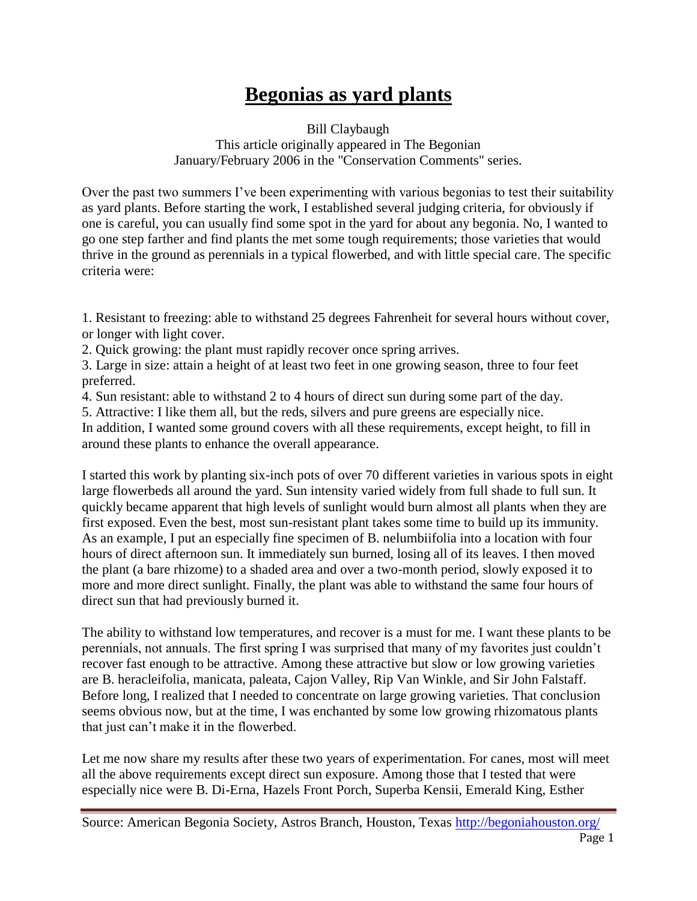## **Begonias as yard plants**

Bill Claybaugh This article originally appeared in The Begonian January/February 2006 in the "Conservation Comments" series.

Over the past two summers I've been experimenting with various begonias to test their suitability as yard plants. Before starting the work, I established several judging criteria, for obviously if one is careful, you can usually find some spot in the yard for about any begonia. No, I wanted to go one step farther and find plants the met some tough requirements; those varieties that would thrive in the ground as perennials in a typical flowerbed, and with little special care. The specific criteria were:

1. Resistant to freezing: able to withstand 25 degrees Fahrenheit for several hours without cover, or longer with light cover.

2. Quick growing: the plant must rapidly recover once spring arrives.

3. Large in size: attain a height of at least two feet in one growing season, three to four feet preferred.

4. Sun resistant: able to withstand 2 to 4 hours of direct sun during some part of the day.

5. Attractive: I like them all, but the reds, silvers and pure greens are especially nice.

In addition, I wanted some ground covers with all these requirements, except height, to fill in around these plants to enhance the overall appearance.

I started this work by planting six-inch pots of over 70 different varieties in various spots in eight large flowerbeds all around the yard. Sun intensity varied widely from full shade to full sun. It quickly became apparent that high levels of sunlight would burn almost all plants when they are first exposed. Even the best, most sun-resistant plant takes some time to build up its immunity. As an example, I put an especially fine specimen of B. nelumbiifolia into a location with four hours of direct afternoon sun. It immediately sun burned, losing all of its leaves. I then moved the plant (a bare rhizome) to a shaded area and over a two-month period, slowly exposed it to more and more direct sunlight. Finally, the plant was able to withstand the same four hours of direct sun that had previously burned it.

The ability to withstand low temperatures, and recover is a must for me. I want these plants to be perennials, not annuals. The first spring I was surprised that many of my favorites just couldn't recover fast enough to be attractive. Among these attractive but slow or low growing varieties are B. heracleifolia, manicata, paleata, Cajon Valley, Rip Van Winkle, and Sir John Falstaff. Before long, I realized that I needed to concentrate on large growing varieties. That conclusion seems obvious now, but at the time, I was enchanted by some low growing rhizomatous plants that just can't make it in the flowerbed.

Let me now share my results after these two years of experimentation. For canes, most will meet all the above requirements except direct sun exposure. Among those that I tested that were especially nice were B. Di-Erna, Hazels Front Porch, Superba Kensii, Emerald King, Esther